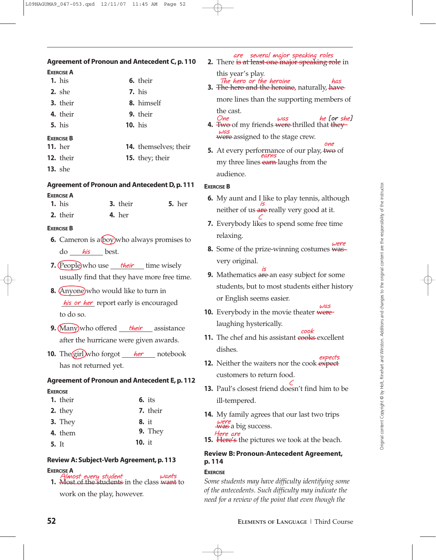# **Agreement of Pronoun and Antecedent C, p. 110**

# **EXERCISE A**

|                   | $1.$ his         |  | 6. their                     |  |  |  |
|-------------------|------------------|--|------------------------------|--|--|--|
|                   | $2.$ she         |  | $7.$ his                     |  |  |  |
|                   | <b>3.</b> their  |  | 8. himself                   |  |  |  |
|                   | 4. their         |  | <b>9.</b> their              |  |  |  |
|                   | $5.$ his         |  | $10.$ his                    |  |  |  |
| <b>EXERCISE B</b> |                  |  |                              |  |  |  |
|                   | <b>11.</b> her   |  | <b>14.</b> themselves; their |  |  |  |
|                   | <b>12.</b> their |  | <b>15.</b> they; their       |  |  |  |

**13.** she

### **Agreement of Pronoun and Antecedent D, p. 111**

### **EXERCISE A**

| $1.$ his | <b>3.</b> their | <b>5.</b> her |
|----------|-----------------|---------------|
| 2. their | $4.$ her        |               |

### **EXERCISE B**

- **6.** Cameron is a boy who always promises to do his best.
- **7.** (People)who use <u>their</u> time wisely usually find that they have more free time.
- **8.** (Anyone) who would like to turn in *his or her* report early is encouraged to do so.
- **9.** (Many)who offered <u>their assistance</u> after the hurricane were given awards.
- **10.** The girl who forgot <u>her</u> notebook has not returned yet.

## **Agreement of Pronoun and Antecedent E, p. 112**

### **EXERCISE**

| 7. their |
|----------|
|          |
|          |
| 9. They  |
|          |
|          |

## **Review A: Subject-Verb Agreement, p. 113**

## **EXERCISE A**

**1.** Most of the students in the class want to **Almost every student wants**

work on the play, however.

**2.** There is at least one major speaking role in this year's play. **The hero or the heroine has**

**are several major speaking roles**

**3.** The hero and the heroine, naturally, have

more lines than the supporting members of the cast.

- **4.** Two of my friends were thrilled that they were assigned to the stage crew. **was One was he [or she]**
- **5.** At every performance of our play, two of my three lines <del>earn</del> laughs from the audience. **one earns**

### **EXERCISE B**

- **6.** My aunt and I like to play tennis, although neither of us <del>are</del> really very good at it. **is**
- **7.** Everybody likes to spend some free time relaxing. **C**
- **8.** Some of the prize-winning costumes was very original. **were**
- **9.** Mathematics are an easy subject for some students, but to most students either history or English seems easier. **is**
- **10.** Everybody in the movie theater were laughing hysterically. **was**
- **11.** The chef and his assistant cooks excellent dishes. **cook**
- **12.** Neither the waiters nor the cook expect customers to return food. **expects**
- **13.** Paul's closest friend doesn't find him to be ill-tempered. **C**
- **14.** My family agrees that our last two trips was a big success. **were Here are**
- **15.** Here's the pictures we took at the beach.

# **Review B: Pronoun-Antecedent Agreement, p. 114**

### **EXERCISE**

*Some students may have difficulty identifying some of the antecedents. Such difficulty may indicate the need for a review of the point that even though the*